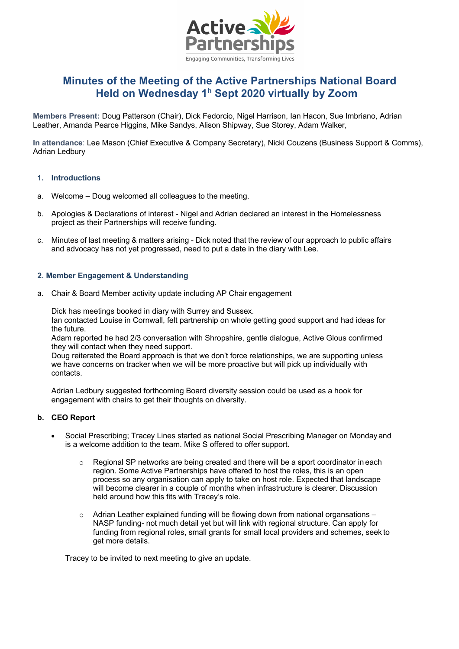

# **Minutes of the Meeting of the Active Partnerships National Board Held on Wednesday 1h Sept 2020 virtually by Zoom**

**Members Present:** Doug Patterson (Chair), Dick Fedorcio, Nigel Harrison, Ian Hacon, Sue Imbriano, Adrian Leather, Amanda Pearce Higgins, Mike Sandys, Alison Shipway, Sue Storey, Adam Walker,

**In attendance**: Lee Mason (Chief Executive & Company Secretary), Nicki Couzens (Business Support & Comms), Adrian Ledbury

#### **1. Introductions**

- a. Welcome Doug welcomed all colleagues to the meeting.
- b. Apologies & Declarations of interest Nigel and Adrian declared an interest in the Homelessness project as their Partnerships will receive funding.
- c. Minutes of last meeting & matters arising Dick noted that the review of our approach to public affairs and advocacy has not yet progressed, need to put a date in the diary with Lee.

# **2. Member Engagement & Understanding**

a. Chair & Board Member activity update including AP Chair engagement

Dick has meetings booked in diary with Surrey and Sussex.

Ian contacted Louise in Cornwall, felt partnership on whole getting good support and had ideas for the future.

Adam reported he had 2/3 conversation with Shropshire, gentle dialogue, Active Glous confirmed they will contact when they need support.

Doug reiterated the Board approach is that we don't force relationships, we are supporting unless we have concerns on tracker when we will be more proactive but will pick up individually with contacts.

Adrian Ledbury suggested forthcoming Board diversity session could be used as a hook for engagement with chairs to get their thoughts on diversity.

# **b. CEO Report**

- Social Prescribing; Tracey Lines started as national Social Prescribing Manager on Mondayand is a welcome addition to the team. Mike S offered to offer support.
	- o Regional SP networks are being created and there will be a sport coordinator in each region. Some Active Partnerships have offered to host the roles, this is an open process so any organisation can apply to take on host role. Expected that landscape will become clearer in a couple of months when infrastructure is clearer. Discussion held around how this fits with Tracey's role.
	- $\circ$  Adrian Leather explained funding will be flowing down from national organizations NASP funding- not much detail yet but will link with regional structure. Can apply for funding from regional roles, small grants for small local providers and schemes, seek to get more details.

Tracey to be invited to next meeting to give an update.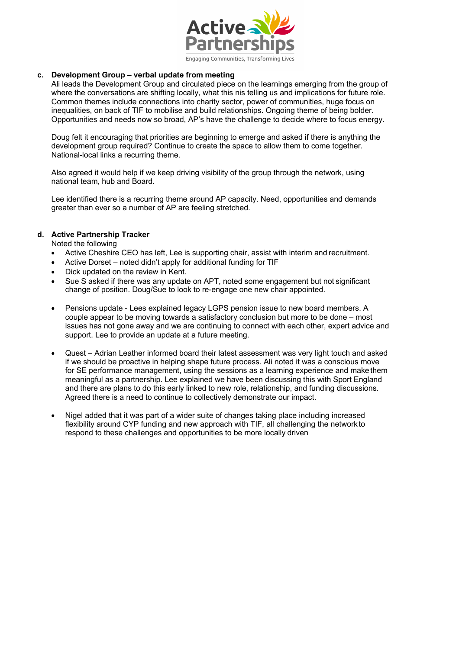

#### **c. Development Group – verbal update from meeting**

Ali leads the Development Group and circulated piece on the learnings emerging from the group of where the conversations are shifting locally, what this nis telling us and implications for future role. Common themes include connections into charity sector, power of communities, huge focus on inequalities, on back of TIF to mobilise and build relationships. Ongoing theme of being bolder. Opportunities and needs now so broad, AP's have the challenge to decide where to focus energy.

Doug felt it encouraging that priorities are beginning to emerge and asked if there is anything the development group required? Continue to create the space to allow them to come together. National-local links a recurring theme.

Also agreed it would help if we keep driving visibility of the group through the network, using national team, hub and Board.

Lee identified there is a recurring theme around AP capacity. Need, opportunities and demands greater than ever so a number of AP are feeling stretched.

# **d. Active Partnership Tracker**

Noted the following

- Active Cheshire CEO has left, Lee is supporting chair, assist with interim and recruitment.
- Active Dorset noted didn't apply for additional funding for TIF
- Dick updated on the review in Kent.
- Sue S asked if there was any update on APT, noted some engagement but not significant change of position. Doug/Sue to look to re-engage one new chair appointed.
- Pensions update Lees explained legacy LGPS pension issue to new board members. A couple appear to be moving towards a satisfactory conclusion but more to be done – most issues has not gone away and we are continuing to connect with each other, expert advice and support. Lee to provide an update at a future meeting.
- Quest Adrian Leather informed board their latest assessment was very light touch and asked if we should be proactive in helping shape future process. Ali noted it was a conscious move for SE performance management, using the sessions as a learning experience and make them meaningful as a partnership. Lee explained we have been discussing this with Sport England and there are plans to do this early linked to new role, relationship, and funding discussions. Agreed there is a need to continue to collectively demonstrate our impact.
- Nigel added that it was part of a wider suite of changes taking place including increased flexibility around CYP funding and new approach with TIF, all challenging the network to respond to these challenges and opportunities to be more locally driven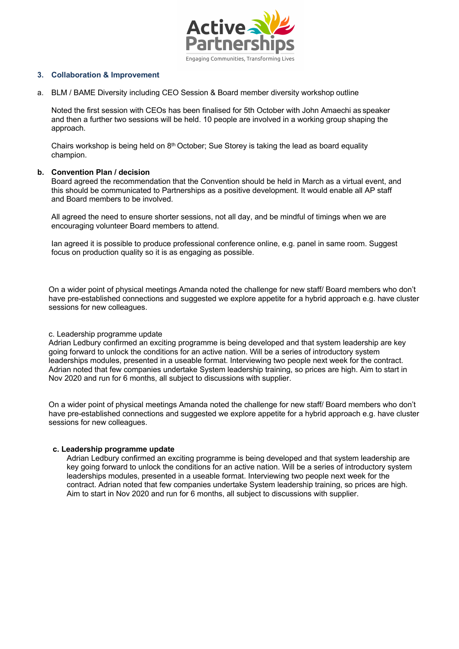

#### **3. Collaboration & Improvement**

a. BLM / BAME Diversity including CEO Session & Board member diversity workshop outline

Noted the first session with CEOs has been finalised for 5th October with John Amaechi as speaker and then a further two sessions will be held. 10 people are involved in a working group shaping the approach.

Chairs workshop is being held on  $8<sup>th</sup>$  October; Sue Storey is taking the lead as board equality champion.

#### **b. Convention Plan / decision**

Board agreed the recommendation that the Convention should be held in March as a virtual event, and this should be communicated to Partnerships as a positive development. It would enable all AP staff and Board members to be involved.

All agreed the need to ensure shorter sessions, not all day, and be mindful of timings when we are encouraging volunteer Board members to attend.

Ian agreed it is possible to produce professional conference online, e.g. panel in same room. Suggest focus on production quality so it is as engaging as possible.

On a wider point of physical meetings Amanda noted the challenge for new staff/ Board members who don't have pre-established connections and suggested we explore appetite for a hybrid approach e.g. have cluster sessions for new colleagues.

#### c. Leadership programme update

Adrian Ledbury confirmed an exciting programme is being developed and that system leadership are key going forward to unlock the conditions for an active nation. Will be a series of introductory system leaderships modules, presented in a useable format. Interviewing two people next week for the contract. Adrian noted that few companies undertake System leadership training, so prices are high. Aim to start in Nov 2020 and run for 6 months, all subject to discussions with supplier.

On a wider point of physical meetings Amanda noted the challenge for new staff/ Board members who don't have pre-established connections and suggested we explore appetite for a hybrid approach e.g. have cluster sessions for new colleagues.

#### **c. Leadership programme update**

Adrian Ledbury confirmed an exciting programme is being developed and that system leadership are key going forward to unlock the conditions for an active nation. Will be a series of introductory system leaderships modules, presented in a useable format. Interviewing two people next week for the contract. Adrian noted that few companies undertake System leadership training, so prices are high. Aim to start in Nov 2020 and run for 6 months, all subject to discussions with supplier.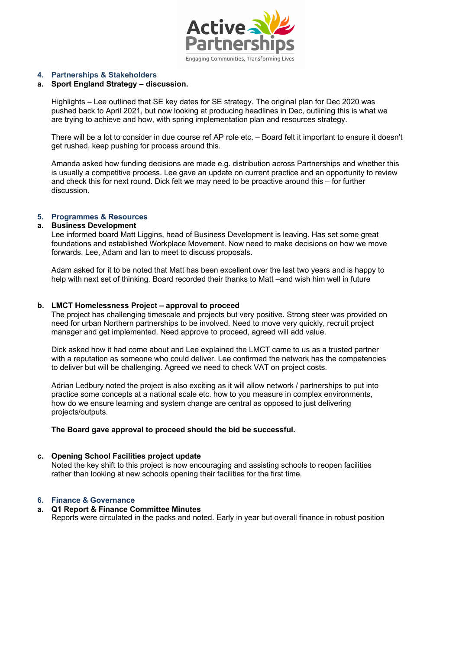

#### **4. Partnerships & Stakeholders**

#### **a. Sport England Strategy – discussion.**

Highlights – Lee outlined that SE key dates for SE strategy. The original plan for Dec 2020 was pushed back to April 2021, but now looking at producing headlines in Dec, outlining this is what we are trying to achieve and how, with spring implementation plan and resources strategy.

There will be a lot to consider in due course ref AP role etc. – Board felt it important to ensure it doesn't get rushed, keep pushing for process around this.

Amanda asked how funding decisions are made e.g. distribution across Partnerships and whether this is usually a competitive process. Lee gave an update on current practice and an opportunity to review and check this for next round. Dick felt we may need to be proactive around this – for further discussion.

#### **5. Programmes & Resources**

#### **a. Business Development**

Lee informed board Matt Liggins, head of Business Development is leaving. Has set some great foundations and established Workplace Movement. Now need to make decisions on how we move forwards. Lee, Adam and Ian to meet to discuss proposals.

Adam asked for it to be noted that Matt has been excellent over the last two years and is happy to help with next set of thinking. Board recorded their thanks to Matt –and wish him well in future

#### **b. LMCT Homelessness Project – approval to proceed**

The project has challenging timescale and projects but very positive. Strong steer was provided on need for urban Northern partnerships to be involved. Need to move very quickly, recruit project manager and get implemented. Need approve to proceed, agreed will add value.

Dick asked how it had come about and Lee explained the LMCT came to us as a trusted partner with a reputation as someone who could deliver. Lee confirmed the network has the competencies to deliver but will be challenging. Agreed we need to check VAT on project costs.

Adrian Ledbury noted the project is also exciting as it will allow network / partnerships to put into practice some concepts at a national scale etc. how to you measure in complex environments, how do we ensure learning and system change are central as opposed to just delivering projects/outputs.

#### **The Board gave approval to proceed should the bid be successful.**

#### **c. Opening School Facilities project update**

Noted the key shift to this project is now encouraging and assisting schools to reopen facilities rather than looking at new schools opening their facilities for the first time.

#### **6. Finance & Governance**

# **a. Q1 Report & Finance Committee Minutes**

Reports were circulated in the packs and noted. Early in year but overall finance in robust position